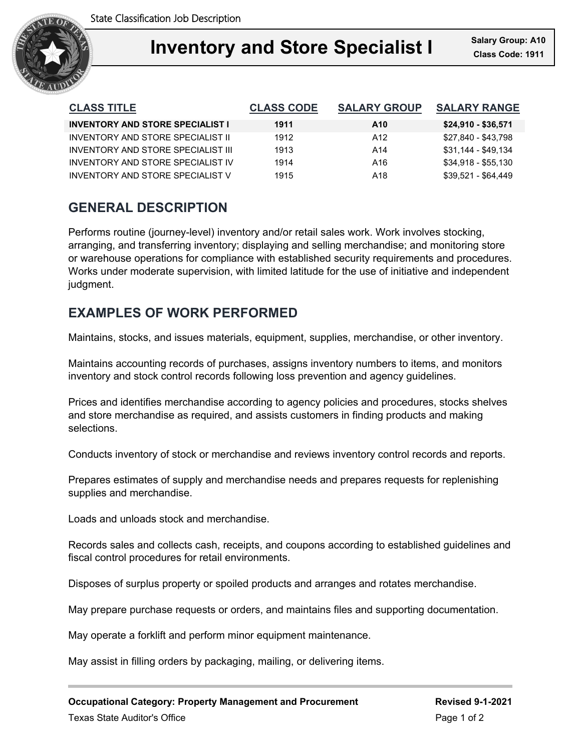

| <b>CLASS TITLE</b>                      | <b>CLASS CODE</b> | <b>SALARY GROUP</b> | <b>SALARY RANGE</b> |
|-----------------------------------------|-------------------|---------------------|---------------------|
| <b>INVENTORY AND STORE SPECIALIST I</b> | 1911              | A <sub>10</sub>     | $$24,910 - $36,571$ |
| INVENTORY AND STORE SPECIALIST II       | 1912              | A12                 | \$27,840 - \$43,798 |
| INVENTORY AND STORE SPECIAL IST III     | 1913              | A14                 | \$31,144 - \$49,134 |
| INVENTORY AND STORE SPECIAL IST IV      | 1914              | A16                 | $$34,918 - $55,130$ |
| INVENTORY AND STORE SPECIALIST V        | 1915              | A18                 | $$39.521 - $64.449$ |

# **GENERAL DESCRIPTION**

Performs routine (journey-level) inventory and/or retail sales work. Work involves stocking, arranging, and transferring inventory; displaying and selling merchandise; and monitoring store or warehouse operations for compliance with established security requirements and procedures. Works under moderate supervision, with limited latitude for the use of initiative and independent judgment.

# **EXAMPLES OF WORK PERFORMED**

Maintains, stocks, and issues materials, equipment, supplies, merchandise, or other inventory.

Maintains accounting records of purchases, assigns inventory numbers to items, and monitors inventory and stock control records following loss prevention and agency guidelines.

Prices and identifies merchandise according to agency policies and procedures, stocks shelves and store merchandise as required, and assists customers in finding products and making selections.

Conducts inventory of stock or merchandise and reviews inventory control records and reports.

Prepares estimates of supply and merchandise needs and prepares requests for replenishing supplies and merchandise.

Loads and unloads stock and merchandise.

Records sales and collects cash, receipts, and coupons according to established guidelines and fiscal control procedures for retail environments.

Disposes of surplus property or spoiled products and arranges and rotates merchandise.

May prepare purchase requests or orders, and maintains files and supporting documentation.

May operate a forklift and perform minor equipment maintenance.

May assist in filling orders by packaging, mailing, or delivering items.

**Occupational Category: Property Management and Procurement Revised 9-1-2021**

Texas State Auditor's Office **Page 1 of 2** and 2